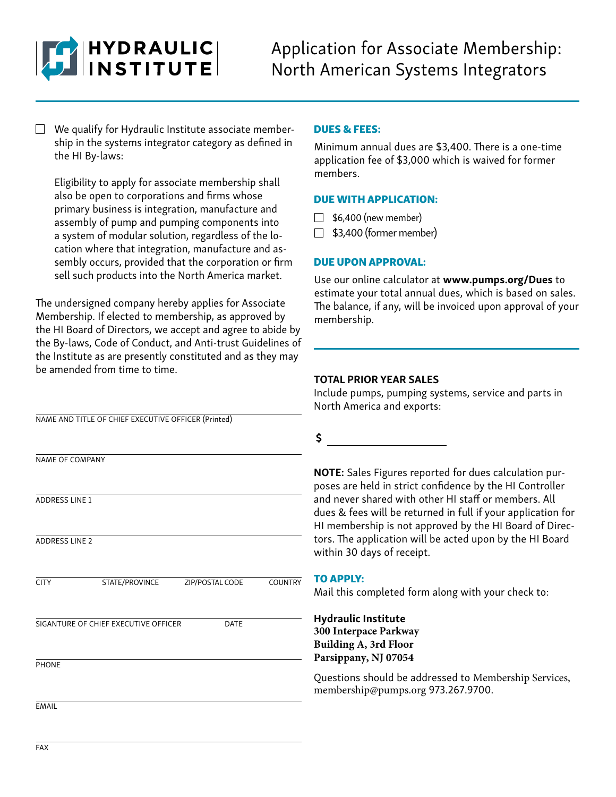

 $\Box$  We qualify for Hydraulic Institute associate membership in the systems integrator category as defined in the HI By-laws:

Eligibility to apply for associate membership shall also be open to corporations and firms whose primary business is integration, manufacture and assembly of pump and pumping components into a system of modular solution, regardless of the location where that integration, manufacture and assembly occurs, provided that the corporation or firm sell such products into the North America market.

The undersigned company hereby applies for Associate Membership. If elected to membership, as approved by the HI Board of Directors, we accept and agree to abide by the By-laws, Code of Conduct, and Anti-trust Guidelines of the Institute as are presently constituted and as they may be amended from time to time.

### DUES & FEES:

Minimum annual dues are \$3,400. There is a one-time application fee of \$3,000 which is waived for former members.

#### DUE WITH APPLICATION:

- $\Box$  \$6,400 (new member)
- $\Box$  \$3,400 (former member)

### DUE UPON APPROVAL:

Use our online calculator at www.pumps.org/Dues to estimate your total annual dues, which is based on sales. The balance, if any, will be invoiced upon approval of your membership.

#### TOTAL PRIOR YEAR SALES

Include pumps, pumping systems, service and parts in North America and exports:

NAME AND TITLE OF CHIEF EXECUTIVE OFFICER (Printed)

NAME OF COMPANY ADDRESS LINE 1 ADDRESS LINE 2 **CITY PHONE** EMAIL STATE/PROVINCE ZIP/POSTAL CODE COUNTRY SIGANTURE OF CHIEF EXECUTIVE OFFICER DATE

\$

NOTE: Sales Figures reported for dues calculation purposes are held in strict confidence by the HI Controller and never shared with other HI staff or members. All dues & fees will be returned in full if your application for HI membership is not approved by the HI Board of Directors. The application will be acted upon by the HI Board within 30 days of receipt.

#### TO APPLY:

Mail this completed form along with your check to:

Hydraulic Institute **300 Interpace Parkway Building A, 3rd Floor Parsippany, NJ 07054**

Questions should be addressed to Membership Services, membership@pumps.org 973.267.9700.